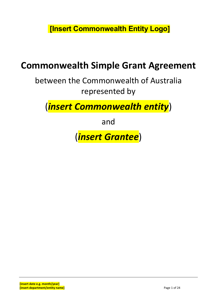**[Insert Commonwealth Entity Logo]** 

# **Commonwealth Simple Grant Agreement**

between the Commonwealth of Australia represented by

(*insert Commonwealth entity*)

and

(*insert Grantee*)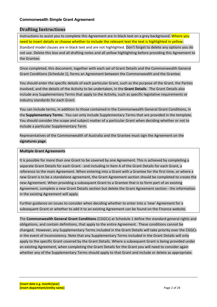#### **Commonwealth Simple Grant Agreement**

#### **Drafting Instructions**

Instructions to assist you to complete this Agreement are in black text on a grey background. Where you need to insert details or choose whether to include the relevant text the text is highlighted in yellow. Standard model clauses are in black text and are not highlighted. Don't forget to delete any options you do not use. Delete this box and all drafting notes and all yellow highlighting before providing this Agreement to the Grantee.

Once completed, this document, together with each set of Grant Details and the Commonwealth General Grant Conditions (Schedule 1), forms an Agreement between the Commonwealth and the Grantee.

You should enter the specific details of each particular Grant, such as the purpose of the Grant, the Parties involved, and the details of the Activity to be undertaken, in the **Grant Details**. The Grant Details also include any Supplementary Terms that apply to the Activity, such as specific legislative requirements or industry standards for each Grant.

You can include terms, in addition to those contained in the Commonwealth General Grant Conditions, in the **Supplementary Terms**. You can only include Supplementary Terms that are provided in the template. You should consider the scope and subject matter of a particular Grant when deciding whether or not to include a particular Supplementary Term.

Representatives of the Commonwealth of Australia and the Grantee must sign the Agreement on the **signatures page**.

#### **Multiple Grant Agreements**

It is possible for more than one Grant to be covered by one Agreement. This is achieved by completing a separate Grant Details for each Grant ‐ and including in Item A of the Grant Details for each Grant, a reference to the main Agreement. When entering into a Grant with a Grantee for the first time, or where a new Grant is to be a standalone agreement, the Grant Agreement section should be completed to create the new Agreement. When providing a subsequent Grant to a Grantee that is to form part of an existing Agreement, complete a new Grant Details section but delete the Grant Agreement section ‐ the information in the existing Agreement will apply.

Further guidance on issues to consider when deciding whether to enter into a 'new' Agreement for a subsequent Grant or whether to add it to an existing Agreement can be found on the Finance website.

The **Commonwealth General Grant Conditions** (CGGCs) at Schedule 1 define the standard general rights and obligations, and contain definitions, that apply to the entire Agreement. These conditions cannot be changed. However, any Supplementary Terms included in the Grant Details will take priority over the CGGCs in the event of inconsistency. Note that any Supplementary Terms included in the Grant Details will only apply to the specific Grant covered by the Grant Details. Where a subsequent Grant is being provided under an existing Agreement, when completing the Grant Details for the Grant you will need to consider again whether any of the Supplementary Terms should apply to that Grant and include or delete as appropriate.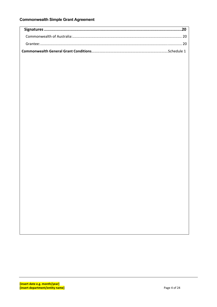# **Commonwealth Simple Grant Agreement**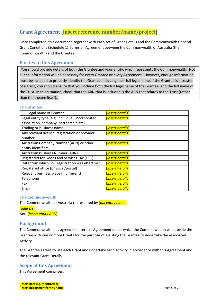# **Grant Agreement [insert reference number/name/project]**

Once completed, this document, together with each set of Grant Details and the Commonwealth General Grant Conditions (Schedule 1), forms an Agreement between the Commonwealth of Australia (the Commonwealth) and the Grantee.

#### **Parties to this Agreement**

[You should provide details of both the Grantee and your entity, which represents the Commonwealth. Not all the information will be necessary for every Grantee or every Agreement. However, enough information must be included to properly identify the Grantee including their full legal name. If the Grantee is a trustee of a Trust, you should ensure that you include both the full legal name of the Grantee, and the full name of the Trust. In this situation, check that the ABN that is included is the ABN that relates to the Trust (rather than the trustee itself).]

#### **The Grantee**

| Full legal name of Grantee                       | [ <i>insert details</i> ] |
|--------------------------------------------------|---------------------------|
| Legal entity type (e.g. individual, incorporated | [insert details]          |
| association, company, partnership etc)           |                           |
| Trading or business name                         | [insert details]          |
| Any relevant licence, registration or provider   | [insert details]          |
| number                                           |                           |
| Australian Company Number (ACN) or other         | [insert details]          |
| entity identifiers                               |                           |
| Australian Business Number (ABN)                 | [ <i>insert details</i> ] |
| Registered for Goods and Services Tax (GST)?     | [insert details]          |
| Date from which GST registration was effective?  | [insert details]          |
| Registered office (physical/postal)              | [insert details]          |
| Relevant business place (if different)           | [insert details]          |
| Telephone                                        | [insert details]          |
| Fax                                              | [insert details]          |
| Email                                            | [ <i>insert details</i> ] |

#### **The Commonwealth**

The Commonwealth of Australia represented by [*full entity name*]

#### [*address*] ABN [*insert entity ABN*]

### **Background**

The Commonwealth has agreed to enter this Agreement under which the Commonwealth will provide the Grantee with one or more Grants for the purpose of assisting the Grantee to undertake the associated Activity.

The Grantee agrees to use each Grant and undertake each Activity in accordance with this Agreement and the relevant Grant Details.

#### **Scope of this Agreement**

This Agreement comprises: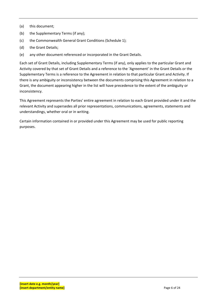- (a) this document;
- (b) the Supplementary Terms (if any);
- (c) the Commonwealth General Grant Conditions (Schedule 1);
- (d) the Grant Details;
- (e) any other document referenced or incorporated in the Grant Details.

Each set of Grant Details, including Supplementary Terms (if any), only applies to the particular Grant and Activity covered by that set of Grant Details and a reference to the 'Agreement' in the Grant Details or the Supplementary Terms is a reference to the Agreement in relation to that particular Grant and Activity. If there is any ambiguity or inconsistency between the documents comprising this Agreement in relation to a Grant, the document appearing higher in the list will have precedence to the extent of the ambiguity or inconsistency.

This Agreement represents the Parties' entire agreement in relation to each Grant provided under it and the relevant Activity and supersedes all prior representations, communications, agreements, statements and understandings, whether oral or in writing.

Certain information contained in or provided under this Agreement may be used for public reporting purposes.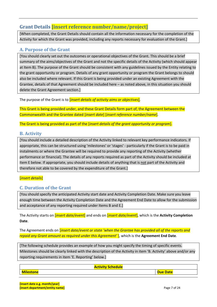# **Grant Details [insert reference number/name/project]**

[When completed, the Grant Details should contain all the information necessary for the completion of the Activity for which the Grant was provided, including any reports necessary for evaluation of the Grant.]

### **A. Purpose of the Grant**

[You should clearly set out the outcomes or operational objectives of the Grant. This should be a brief summary of the aims/objectives of the Grant and not the specific details of the Activity (which should appear at Item B). The purpose of the Grant should be consistent with any guidelines issued by the Entity relating to the grant opportunity or program. Details of any grant opportunity or program the Grant belongs to should also be included where relevant. If this Grant is being provided under an existing Agreement with the Grantee, details of that Agreement should be included here – as noted above, in this situation you should delete the Grant Agreement section.]

The purpose of the Grant is to [*insert details of activity aims or objectives*].

This Grant is being provided under, and these Grant Details form part of, the Agreement between the Commonwealth and the Grantee dated [*insert date*] [*insert reference number/name*].

The Grant is being provided as part of the [*insert details of the grant opportunity or program*].

#### **B. Activity**

[You should include a detailed description of the Activity linked to relevant key performance indicators. If appropriate, this can be structured using 'milestones' or 'stages' ‐ particularly if the Grant is to be paid in instalments or where the Grantee will be required to provide any reporting of the Activity (whether performance or financial). The details of any reports required as part of the Activity should be included at Item E below. If appropriate, you should include details of anything that is not part of the Activity and therefore not able to be covered by the expenditure of the Grant.]

#### [*insert details*]

#### **C. Duration of the Grant**

[You should specify the anticipated Activity start date and Activity Completion Date. Make sure you leave enough time between the Activity Completion Date and the Agreement End Date to allow for the submission and acceptance of any reporting required under Items B and E.]

The Activity starts on [*insert date/event*] and ends on [*insert date/event*], which is the **Activity Completion Date**.

The Agreement ends on [*insert date/event or state 'when the Grantee has provided all of the reports and repaid any Grant amount as required under this Agreement'* ], which is the **Agreement End Date**.

[The following schedule provides an example of how you might specify the timing of specific events. Milestones should be clearly linked with the description of the Activity in item 'B. Activity' above and/or any reporting requirements in item 'E. Reporting' below.]

**Activity Schedule**

**Milestone Due Date**

**[insert date e.g. month/year] [insert department/entity name]**  Page 7 of 24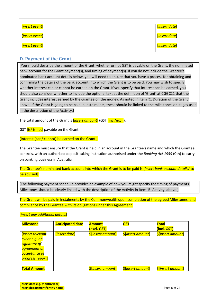| [insert event] | [insert date] |
|----------------|---------------|
| [insert event] | [insert date] |
| [insert event] | [insert date] |

#### **D.** Payment of the Grant

[You should describe the amount of the Grant, whether or not GST is payable on the Grant, the nominated bank account for the Grant payment(s), and timing of payment(s). If you do not include the Grantee's nominated bank account details below, you will need to ensure that you have a process for obtaining and confirming the details of the bank account into which the Grant is to be paid. You may wish to specify whether interest can or cannot be earned on the Grant. If you specify that interest can be earned, you should also consider whether to include the optional text at the definition of 'Grant' at CGGC21 that the Grant includes interest earned by the Grantee on the money. As noted in item 'C. Duration of the Grant' above, if the Grant is going to be paid in instalments, these should be linked to the milestones or stages used in the description of the Activity.]

The total amount of the Grant is [*insert amount*] (GST [incl/excl]).

GST *[is/ is not]* payable on the Grant.

#### [Interest [can/ cannot] be earned on the Grant.]

The Grantee must ensure that the Grant is held in an account in the Grantee's name and which the Grantee controls, with an authorised deposit‐taking institution authorised under the *Banking Act 1959* (Cth) to carry on banking business in Australia.

The Grantee's nominated bank account into which the Grant is to be paid is [*insert bank account details/* to be advised].

[The following payment schedule provides an example of how you might specify the timing of payments. Milestones should be clearly linked with the description of the Activity in item 'B. Activity' above.]

The Grant will be paid in instalments by the Commonwealth upon completion of the agreed Milestones, and compliance by the Grantee with its obligations under this Agreement.

#### [*insert any additional details*]

| <b>Milestone</b>              | <b>Anticipated date</b> | <b>Amount</b>                   | <b>GST</b>                            | <b>Total</b>                    |
|-------------------------------|-------------------------|---------------------------------|---------------------------------------|---------------------------------|
|                               |                         | (excl. GST)                     |                                       | (incl. GST)                     |
| <i><b>insert relevant</b></i> | [insert date]           | \$[insert amount]               | \$[insert amount]                     | <i><b>\$[insert amount]</b></i> |
| event e.g. on                 |                         |                                 |                                       |                                 |
| signature of                  |                         |                                 |                                       |                                 |
| agreement or                  |                         |                                 |                                       |                                 |
| acceptance of                 |                         |                                 |                                       |                                 |
| progress report]              |                         |                                 |                                       |                                 |
|                               |                         |                                 |                                       |                                 |
| <b>Total Amount</b>           |                         | <i><b>\$[insert amount]</b></i> | <b><i><u>Slinsert amountl</u></i></b> | <i><b>\$[insert amount]</b></i> |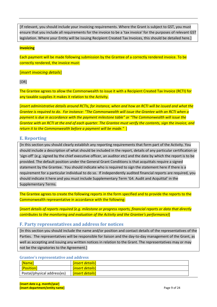[If relevant, you should include your invoicing requirements. Where the Grant is subject to GST, you must ensure that you include all requirements for the invoice to be a 'tax invoice' for the purposes of relevant GST legislation. Where your Entity will be issuing Recipient Created Tax Invoices, this should be detailed here.]

#### **Invoicing**

Each payment will be made following submission by the Grantee of a correctly rendered invoice. To be correctly rendered, the invoice must:

#### [*insert invoicing details*]

[OR]

The Grantee agrees to allow the Commonwealth to issue it with a Recipient Created Tax Invoice (RCTI) for any taxable supplies it makes it relation to the Activity.

[insert administrative details around RCTIs, for instance, when and how an RCTI will be issued and what the Grantee is required to do. For instance: "The Commonwealth will issue the Grantee with an RCTI when a *payment is due in accordance with the payment milestone table" or "The Commonwealth will issue the* Grantee with an RCTI at the end of each quarter. The Grantee must verify the contents, sign the invoice, and *return it to the Commonwealth before a payment will be made."* ]

#### **E. Reporting**

[In this section you should clearly establish any reporting requirements that form part of the Activity. You should include a description of what should be included in the report, details of any particular certification or 'sign‐off' (e.g. signed by the chief executive officer, an auditor etc) and the date by which the report is to be provided. The default position under the General Grant Conditions is that acquittals require a signed statement by the Grantee. You should indicate who is required to sign the statement here if there is a requirement for a particular individual to do so. If independently audited financial reports are required, you should indicate it here and you must include Supplementary Term 'G4. Audit and Acquittal' in the Supplementary Terms.

The Grantee agrees to create the following reports in the form specified and to provide the reports to the Commonwealth representative in accordance with the following:

[*insert details of reports required (e.g. milestone or progress reports, financial reports or data that directly contributes to the monitoring and evaluation of the Activity and the Grantee's performance)*]

#### **F. Party representatives and address for notices**

[In this section you should include the name and/or position and contact details of the representatives of the Parties. The representatives will be responsible for liaison and the day-to-day management of the Grant, as well as accepting and issuing any written notices in relation to the Grant. The representatives may or may not be the signatories to the Agreement.]

#### **Grantee's representative and address**

| [Name]                      | <u>linsert details l</u> |
|-----------------------------|--------------------------|
| <b>Position</b>             | <u>[insert details]</u>  |
| Postal/physical address(es) | <u>linsert details l</u> |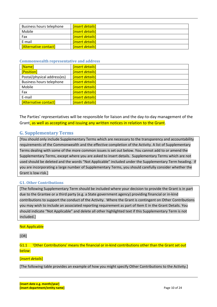| <b>Business hours telephone</b> | <b>[insert details]</b> |
|---------------------------------|-------------------------|
| Mobile                          | <b>[insert details]</b> |
| Fax                             | <b>[insert details]</b> |
| E-mail                          | <b>[insert details]</b> |
| [Alternative contact]           | <b>[insert details]</b> |

#### **Commonwealth representative and address**

| [Name]                          | [insert details]        |
|---------------------------------|-------------------------|
| [Position]                      | [insert details]        |
| Postal/physical address(es)     | [insert details]        |
| <b>Business hours telephone</b> | <b>[insert details]</b> |
| Mobile                          | [insert details]        |
| Fax                             | [insert details]        |
| E-mail                          | <b>[insert details]</b> |
| [Alternative contact]           | <b>[insert details]</b> |

The Parties' representatives will be responsible for liaison and the day‐to‐day management of the Grant, as well as accepting and issuing any written notices in relation to the Grant.

#### **G. Supplementary Terms**

[You should only include Supplementary Terms which are necessary to the transparency and accountability requirements of the Commonwealth and the effective completion of the Activity. A list of Supplementary Terms dealing with some of the more common issues is set out below. You cannot add to or amend the Supplementary Terms, except where you are asked to insert details. Supplementary Terms which are not used should be deleted and the words "Not Applicable" included under the Supplementary Term heading. If you are incorporating a large number of Supplementary Terms, you should carefully consider whether the Grant is low‐risk.]

#### **G1. Other Contributions**

[The following Supplementary Term should be included where your decision to provide the Grant is in part due to the Grantee or a third party (e.g. a State government agency) providing financial or in‐kind contributions to support the conduct of the Activity. Where the Grant is contingent on Other Contributions you may wish to include an associated reporting requirement as part of Item E in the Grant Details. You should indicate "Not Applicable" and delete all other highlighted text if this Supplementary Term is not included.]

#### Not Applicable

[OR]

G1.1 'Other Contributions' means the financial or in-kind contributions other than the Grant set out below:

#### [*insert details*]

[The following table provides an example of how you might specify Other Contributions to the Activity.]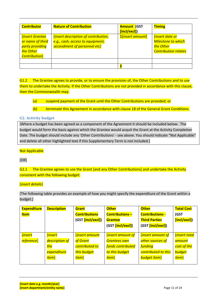| <b>Contributor</b>                                                                                 | <b>Nature of Contribution</b>                                                                            | <b>Amount (GST</b><br>[incl/excl]) | <b>Timing</b>                                                                                                |
|----------------------------------------------------------------------------------------------------|----------------------------------------------------------------------------------------------------------|------------------------------------|--------------------------------------------------------------------------------------------------------------|
| <b>Insert Grantee</b><br>or name of third<br>party providing<br>the Other<br><b>Contribution</b> ] | [insert description of contribution,<br>e.g., cash, access to equipment,<br>secondment of personnel etc] | <i><b>\$[insert amount]</b></i>    | <i><b><u>Insert date or</u></b></i><br><b>Milestone to which</b><br>the Other<br><b>Contribution relates</b> |
|                                                                                                    |                                                                                                          |                                    |                                                                                                              |
|                                                                                                    |                                                                                                          |                                    |                                                                                                              |

G1.2 The Grantee agrees to provide, or to ensure the provision of, the Other Contributions and to use them to undertake the Activity. If the Other Contributions are not provided in accordance with this clause, then the Commonwealth may:

- (a) suspend payment of the Grant until the Other Contributions are provided; or
- (b) terminate this Agreement in accordance with clause 18 of the General Grant Conditions.

#### **G2. Activity budget**

[Where a budget has been agreed as a component of the Agreement it should be included below. The budget would form the basis against which the Grantee would acquit the Grant at the Activity Completion Date. The budget should include any 'Other Contributions' - see above. You should indicate "Not Applicable" and delete all other highlighted text if this Supplementary Term is not included.]

#### Not Applicable

[OR]

G2.1 The Grantee agrees to use the Grant [and any Other Contributions] and undertake the Activity consistent with the following budget:

#### [*insert details*]

[The following table provides an example of how you might specify the expenditure of the Grant within a budget.]

| <b>Expenditure</b> | <b>Description</b> | Grant                | <b>Other</b>                          | <b>Other</b>                          | <b>Total Cost</b>    |
|--------------------|--------------------|----------------------|---------------------------------------|---------------------------------------|----------------------|
| <b>Item</b>        |                    | <b>Contributions</b> | <b>Contributions-</b>                 | <b>Contributions -</b>                | (GST                 |
|                    |                    | (GST [incl/excl])    | <b>Grantee</b>                        | <b>Third Parties</b>                  | [incl/excl])         |
|                    |                    |                      | (GST [incl/excl])                     | (GST [incl/excl])                     |                      |
|                    |                    |                      |                                       |                                       |                      |
| <b>Tinsert</b>     | <b>Tinsert</b>     | <b>Insert amount</b> | <i><u><b>Insert amount of</b></u></i> | <i><u><b>Insert amount of</b></u></i> | <b>linsert total</b> |
| reference]         | description of     | of Grant             | <b>Grantees own</b>                   | other sources of                      | amount               |
|                    | the                | contributed to       | funds contributed                     | <i>funding</i>                        | cost of the          |
|                    | expenditure        | this budget          | to this budget                        | contributed to this                   | budget               |
|                    | item]              | <mark>item]</mark>   | item]                                 | <b>budget item]</b>                   | item]                |
|                    |                    |                      |                                       |                                       |                      |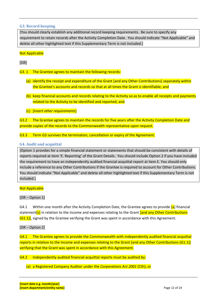#### **G3. Record keeping**

[You should clearly establish any additional record keeping requirements. Be sure to specify any requirement to retain records after the Activity Completion Date. You should indicate "Not Applicable" and delete all other highlighted text if this Supplementary Term is not included.]

#### Not Applicable

[OR]

G3. 1 The Grantee agrees to maintain the following records:

- (a) identify the receipt and expenditure of the Grant [and any Other Contributions] separately within the Grantee's accounts and records so that at all times the Grant is identifiable; and
- (b) keep financial accounts and records relating to the Activity so as to enable all receipts and payments related to the Activity to be identified and reported; and
- (c) [*insert other requirements*]

G3.2 The Grantee agrees to maintain the records for five years after the Activity Completion Date and provide copies of the records to the Commonwealth representative upon request.

#### G3.3 Term G3 survives the termination, cancellation or expiry of the Agreement.

#### **G4. Audit and acquittal**

[Option 1 provides for a simple financial statement or statements that should be consistent with details of reports required at item 'E. Reporting' of the Grant Details. You should include Option 2 if you have included the requirement to have an independently audited financial acquittal report at item E. You should only include a reference to any Other Contributions if the Grantee is required to account for Other Contributions. You should indicate "Not Applicable" and delete all other highlighted text if this Supplementary Term is not included.]

#### Not Applicable

[OR – Option 1]

G4.1 Within one month after the Activity Completion Date, the Grantee agrees to provide  $\begin{bmatrix} a \end{bmatrix}$  financial statement<sup>[s]</sup> in relation to the income and expenses relating to the Grant [and any Other Contributions  $(G1.1)$ , signed by the Grantee verifying the Grant was spent in accordance with this Agreement.

#### [OR – Option 2]

G4.1 The Grantee agrees to provide the Commonwealth with independently audited financial acquittal reports in relation to the income and expenses relating to the Grant [and any Other Contributions (G1.1)] verifying that the Grant was spent in accordance with this Agreement.

G4.2 Independently audited financial acquittal reports must be audited by:

(a) a Registered Company Auditor under the *Corporations Act 2001* (Cth); or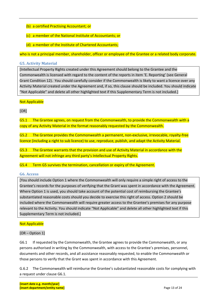- (b) a certified Practising Accountant; or
- (c) a member of the National Institute of Accountants; or
- (d) a member of the Institute of Chartered Accountants;

who is not a principal member, shareholder, officer or employee of the Grantee or a related body corporate.

#### **G5. Activity Material**

[Intellectual Property Rights created under this Agreement should belong to the Grantee and the Commonwealth is licensed with regard to the content of the reports in item 'E. Reporting' (see General Grant Condition 12). You should carefully consider if the Commonwealth is likely to want a licence over any Activity Material created under the Agreement and, if so, this clause should be included. You should indicate "Not Applicable" and delete all other highlighted text if this Supplementary Term is not included.]

#### Not Applicable

[OR]

G5.1 The Grantee agrees, on request from the Commonwealth, to provide the Commonwealth with a copy of any Activity Material in the format reasonably requested by the Commonwealth.

G5.2 The Grantee provides the Commonwealth a permanent, non‐exclusive, irrevocable, royalty‐free licence (including a right to sub licence) to use, reproduce, publish, and adapt the Activity Material.

G5.3 The Grantee warrants that the provision and use of Activity Material in accordance with the Agreement will not infringe any third party's Intellectual Property Rights.

G5.4 Term G5 survives the termination, cancellation or expiry of the Agreement.

#### **G6. Access**

[You should include Option 1 where the Commonwealth will only require a simple right of access to the Grantee's records for the purposes of verifying that the Grant was spent in accordance with the Agreement. Where Option 1 is used, you should take account of the potential cost of reimbursing the Grantee's substantiated reasonable costs should you decide to exercise this right of access. Option 2 should be included where the Commonwealth will require greater access to the Grantee's premises for any purpose relevant to the Activity. You should indicate "Not Applicable" and delete all other highlighted text if this Supplementary Term is not included.]

#### Not Applicable

#### [OR – Option 1]

G6.1 If requested by the Commonwealth, the Grantee agrees to provide the Commonwealth, or any persons authorised in writing by the Commonwealth, with access to the Grantee's premises, personnel, documents and other records, and all assistance reasonably requested, to enable the Commonwealth or those persons to verify that the Grant was spent in accordance with this Agreement.

G.6.2 The Commonwealth will reimburse the Grantee's substantiated reasonable costs for complying with a request under clause G6.1.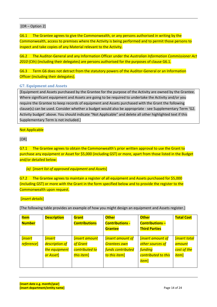#### [OR – Option 2]

G6.1 The Grantee agrees to give the Commonwealth, or any persons authorised in writing by the Commonwealth, access to premises where the Activity is being performed and to permit those persons to inspect and take copies of any Material relevant to the Activity.

G6.2 The Auditor‐General and any Information Officer under the *Australian Information Commissioner Act 2010* (Cth) (including their delegates) are persons authorised for the purposes of clause G6.1.

G6.3 Term G6 does not detract from the statutory powers of the Auditor‐General or an Information Officer (including their delegates).

#### **G7. Equipment and Assets**

[Equipment and Assets purchased by the Grantee for the purpose of the Activity are owned by the Grantee. Where significant equipment and Assets are going to be required to undertake the Activity and/or you require the Grantee to keep records of equipment and Assets purchased with the Grant the following clause(s) can be used. Consider whether a budget would also be appropriate ‐ see Supplementary Term 'G2. Activity budget' above. You should indicate "Not Applicable" and delete all other highlighted text if this Supplementary Term is not included.]

#### Not Applicable

[OR]

G7.1 The Grantee agrees to obtain the Commonwealth's prior written approval to use the Grant to purchase any equipment or Asset for \$5,000 (including GST) or more, apart from those listed in the Budget and/or detailed below:

#### *(a)* [*insert list of approved equipment and Assets*]

G7.2 The Grantee agrees to maintain a register of all equipment and Assets purchased for \$5,000 (including GST) or more with the Grant in the form specified below and to provide the register to the Commonwealth upon request.

#### [*insert details*]

[The following table provides an example of how you might design an equipment and Assets register.]

| <b>Item</b>   | <b>Description</b> | Grant                       | <b>Other</b>                          | <b>Other</b>                          | <b>Total Cost</b>   |
|---------------|--------------------|-----------------------------|---------------------------------------|---------------------------------------|---------------------|
| <b>Number</b> |                    | <b>Contributions</b>        | <b>Contributions -</b>                | <b>Contributions-</b>                 |                     |
|               |                    |                             | <b>Grantee</b>                        | <b>Third Parties</b>                  |                     |
|               |                    |                             |                                       |                                       |                     |
| [insert       | <b>linsert</b>     | <i><b>Insert amount</b></i> | <i><u><b>Insert amount of</b></u></i> | <i><u><b>Insert amount of</b></u></i> | <b>Insert total</b> |
| reference]    | description of     | of Grant                    | <b>Grantees own</b>                   | other sources of                      | amount              |
|               | the equipment      | contributed to              | funds contributed                     | <i>funding</i>                        | cost of the         |
|               | or Asset]          | this item]                  | to this item]                         | contributed to this                   | item]               |
|               |                    |                             |                                       | <i>item</i> ]                         |                     |
|               |                    |                             |                                       |                                       |                     |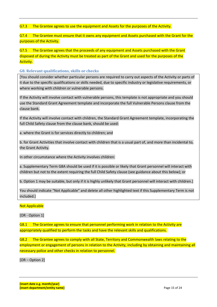G7.3 The Grantee agrees to use the equipment and Assets for the purposes of the Activity.

G7.4 The Grantee must ensure that it owns any equipment and Assets purchased with the Grant for the purposes of the Activity.

G7.5 The Grantee agrees that the proceeds of any equipment and Assets purchased with the Grant disposed of during the Activity must be treated as part of the Grant and used for the purposes of the Activity.

**G8. Relevant qualifications, skills or checks**

[You should consider whether particular persons are required to carry out aspects of the Activity or parts of it due to the specific qualifications or skills needed, due to specific industry or legislative requirements, or where working with children or vulnerable persons.

If the Activity will involve contact with vulnerable persons, this template is not appropriate and you should use the Standard Grant Agreement template and incorporate the full Vulnerable Persons clause from the clause bank.

If the Activity will involve contact with children, the Standard Grant Agreement template, incorporating the full Child Safety clause from the clause bank, should be used:

a. where the Grant is for services directly to children; and

b. for Grant Activities that involve contact with children that is a usual part of, and more than incidental to, the Grant Activity.

In other circumstance where the Activity involves children:

a. Supplementary Term G8A should be used if it is possible or likely that Grant personnel will interact with children but not to the extent requiring the full Child Safety clause (see guidance about this below); or

b. Option 1 may be suitable, but only if it is highly unlikely that Grant personnel will interact with children.]

You should indicate "Not Applicable" and delete all other highlighted text if this Supplementary Term is not included.]

#### Not Applicable

[OR ‐ Option 1]

G8.1 The Grantee agrees to ensure that personnel performing work in relation to the Activity are appropriately qualified to perform the tasks and have the relevant skills and qualifications.

G8.2 The Grantee agrees to comply with all State, Territory and Commonwealth laws relating to the employment or engagement of persons in relation to the Activity, including by obtaining and maintaining all necessary police and other checks in relation to personnel.

[OR – Option 2]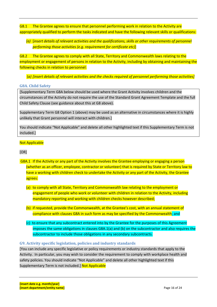G8.1 The Grantee agrees to ensure that personnel performing work in relation to the Activity are appropriately qualified to perform the tasks indicated and have the following relevant skills or qualifications:

*(a)* [*insert details of relevant activities and the qualifications, skills or other requirements of personnel performing those activities (e.g. requirement for certificate etc)*]

G8.2 The Grantee agrees to comply with all State, Territory and Commonwealth laws relating to the employment or engagement of persons in relation to the Activity, including by obtaining and maintaining the following checks in relation to personnel:

(*a) [insert details of relevant activities and the checks required of personnel performing those activities]* 

#### **G8A. Child Safety**

[Supplementary Term G8A below should be used where the Grant Activity involves children and the circumstances of the Activity do not require the use of the Standard Grant Agreement Template and the full Child Safety Clause (see guidance about this at G8 above).

Supplementary Term G8 Option 1 (above) may be used as an alternative in circumstances where it is highly unlikely that Grant personnel will interact with children.]

You should indicate "Not Applicable" and delete all other highlighted text if this Supplementary Term is not included.]

#### Not Applicable

[OR]

- G8A.1 If the Activity or any part of the Activity involves the Grantee employing or engaging a person (whether as an officer, employee, contractor or volunteer) that is required by State or Territory law to have a working with children check to undertake the Activity or any part of the Activity, the Grantee agrees:
	- (a) to comply with all State, Territory and Commonwealth law relating to the employment or engagement of people who work or volunteer with children in relation to the Activity, including mandatory reporting and working with children checks however described;
	- (b) if requested, provide the Commonwealth, at the Grantee's cost, with an annual statement of compliance with clauses G8A in such form as may be specified by the Commonwealth; and
	- (c) to ensure that any subcontract entered into by the Grantee for the purposes of this Agreement imposes the same obligations in clauses G8A.1(a) and (b) on the subcontractor and also requires the subcontractor to include those obligations in any secondary subcontracts.

#### **G9. Activity specific legislation, policies and industry standards**

[You can include any specific legislative or policy requirements or industry standards that apply to the Activity. In particular, you may wish to consider the requirement to comply with workplace health and safety policies. You should indicate "Not Applicable" and delete all other highlighted text if this Supplementary Term is not included.] Not Applicable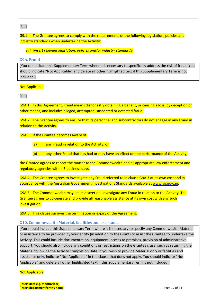#### [OR]

#### G9.1 The Grantee agrees to comply with the requirements of the following legislation, policies and industry standards when undertaking the Activity:

#### *(a)* [*insert relevant legislation, policies and/or industry standards*]

#### **G9A. Fraud**

[You can include this Supplementary Term where it is necessary to specifically address the risk of fraud. You should indicate "Not Applicable" and delete all other highlighted text if this Supplementary Term is not included.]

#### Not Applicable

[OR]

G9A.1 In this Agreement, Fraud means dishonestly obtaining a benefit, or causing a loss, by deception or other means, and includes alleged, attempted, suspected or detected fraud.

G9A.2 The Grantee agrees to ensure that its personnel and subcontractors do not engage in any Fraud in relation to the Activity.

#### G9A.3 If the Grantee becomes aware of:

(a) any Fraud in relation to the Activity; or

(b) any other Fraud that has had or may have an effect on the performance of the Activity,

the Grantee agrees to report the matter to the Commonwealth and all appropriate law enforcement and regulatory agencies within 5 business days.

G9A.4 The Grantee agrees to investigate any Fraud referred to in clause G9A.3 at its own cost and in accordance with the Australian Government Investigations Standards available at www.ag.gov.au.

G9A.5 The Commonwealth may, at its discretion, investigate any Fraud in relation to the Activity. The Grantee agrees to co-operate and provide all reasonable assistance at its own cost with any such investigation.

G9A.6 This clause survives the termination or expiry of the Agreement.

#### **G10. Commonwealth Material, facilities and assistance**

[You should include this Supplementary Term where it is necessary to specify any Commonwealth Material or assistance to be provided by your entity (in addition to the Grant) to assist the Grantee to undertake the Activity. This could include documentation, equipment, access to premises, provision of administrative support. You should also include any conditions or restrictions on the Grantee's use, such as returning the Material following the Activity Completion Date. If you wish to provide Material only or facilities and assistance only, indicate "Not Applicable" in the clause that does not apply. You should indicate "Not Applicable" and delete all other highlighted text if this Supplementary Term is not included.]

#### Not Applicable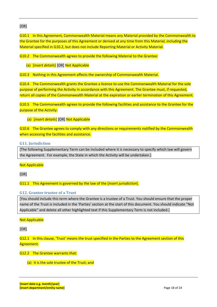#### [OR]

G10.1 In this Agreement, Commonwealth Material means any Material provided by the Commonwealth to the Grantee for the purposes of this Agreement or derived at any time from this Material, including the Material specified in G10.2, but does not include Reporting Material or Activity Material.

#### G10.2 The Commonwealth agrees to provide the following Material to the Grantee:

#### (a) [*insert details*] [OR] Not Applicable

#### G10.3 Nothing in this Agreement affects the ownership of Commonwealth Material.

G10.4 The Commonwealth grants the Grantee a licence to use the Commonwealth Material for the sole purpose of performing the Activity in accordance with this Agreement. The Grantee must, if requested, return all copies of the Commonwealth Material at the expiration or earlier termination of this Agreement.

G10.5 The Commonwealth agrees to provide the following facilities and assistance to the Grantee for the purpose of the Activity:

#### (a) [*insert details*] [OR] Not Applicable

G10.6 The Grantee agrees to comply with any directions or requirements notified by the Commonwealth when accessing the facilities and assistance.

#### **G11. Jurisdiction**

[The following Supplementary Term can be included where it is necessary to specify which law will govern the Agreement. For example, the State in which the Activity will be undertaken.]

#### Not Applicable

[OR]

G11.1 This Agreement is governed by the law of the [*insert jurisdiction*].

#### **G12. Grantee trustee of a Trust**

[You should include this term where the Grantee is a trustee of a Trust. You should ensure that the proper name of the Trust is included in the 'Parties' section at the start of this document. You should indicate "Not Applicable" and delete all other highlighted text if this Supplementary Term is not included.]

#### Not Applicable

[OR]

G12.1 In this clause, 'Trust' means the trust specified in the Parties to the Agreement section of this Agreement.

#### G12.2 The Grantee warrants that:

(a) it is the sole trustee of the Trust; and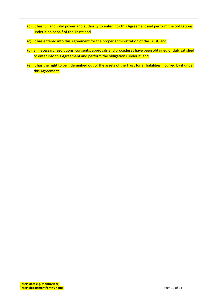- (b) it has full and valid power and authority to enter into this Agreement and perform the obligations under it on behalf of the Trust; and
- (c) it has entered into this Agreement for the proper administration of the Trust; and
- (d) all necessary resolutions, consents, approvals and procedures have been obtained or duly satisfied to enter into this Agreement and perform the obligations under it; and
- (e) it has the right to be indemnified out of the assets of the Trust for all liabilities incurred by it under this Agreement.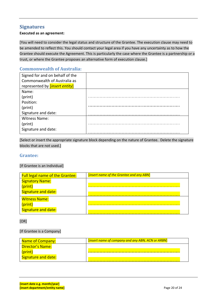# **Signatures**

#### **Executed as an agreement:**

[You will need to consider the legal status and structure of the Grantee. The execution clause may need to be amended to reflect this. You should contact your legal area if you have any uncertainty as to how the Grantee should execute the Agreement. This is particularly the case where the Grantee is a partnership or a trust, or where the Grantee proposes an alternative form of execution clause.]

## **Commonwealth of Australia:**

| Signed for and on behalf of the       |  |
|---------------------------------------|--|
| Commonwealth of Australia as          |  |
| represented by <i>[insert entity]</i> |  |
| Name:                                 |  |
| (print)                               |  |
| Position:                             |  |
| (print)                               |  |
| Signature and date:                   |  |
| <b>Witness Name:</b>                  |  |
| (print)                               |  |
| Signature and date:                   |  |
|                                       |  |

[Select or insert the appropriate signature block depending on the nature of Grantee. Delete the signature blocks that are not used.]

#### **Grantee:**

#### [If Grantee is an Individual]

| <b>Full legal name of the Grantee:</b> | <b>[insert name of the Grantee and any ABN]</b> |
|----------------------------------------|-------------------------------------------------|
| <b>Signatory Name:</b>                 |                                                 |
| (print)                                |                                                 |
| Signature and date:                    |                                                 |
| <b>Witness Name:</b>                   |                                                 |
| (print)                                |                                                 |
| Signature and date:                    |                                                 |

[OR]

#### [If Grantee is a Company]

| <b>Name of Company:</b> | [insert name of company and any ABN, ACN or ARBN] |
|-------------------------|---------------------------------------------------|
| Director's Name:        |                                                   |
| (print)                 |                                                   |
| Signature and date:     |                                                   |
|                         |                                                   |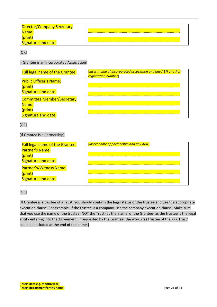| <b>Director/Company Secretary</b> |  |
|-----------------------------------|--|
| Name:                             |  |
| (print)                           |  |
| Signature and date:               |  |

[OR]

If Grantee is an Incorporated Association]

| <b>Full legal name of the Grantee:</b>   | <i>linsert name of incorporated association and any ABN or other</i><br>registration number] |
|------------------------------------------|----------------------------------------------------------------------------------------------|
| <b>Public Officer's Name:</b><br>(print) |                                                                                              |
| Signature and date:                      |                                                                                              |
| <b>Committee Member/Secretary</b>        |                                                                                              |
| Name:                                    |                                                                                              |
| (print)                                  |                                                                                              |
| Signature and date:                      |                                                                                              |

[OR]

#### [If Grantee is a Partnership]

| <b>Full legal name of the Grantee:</b> | [insert name of partnership and any ABN] |
|----------------------------------------|------------------------------------------|
| Partner's Name:                        |                                          |
| (print)                                |                                          |
| <b>Signature and date:</b>             |                                          |
| Partner's/Witness Name:                |                                          |
| (print)                                |                                          |
| Signature and date:                    |                                          |

[OR]

[If Grantee is a trustee of a Trust, you should confirm the legal status of the trustee and use the appropriate execution clause. For example, if the trustee is a company, use the company execution clause. Make sure that you use the name of the trustee (NOT the Trust) as the 'name' of the Grantee‐ as the trustee is the legal entity entering into the Agreement. If requested by the Grantee, the words 'as trustee of the XXX Trust' could be included at the end of the name.]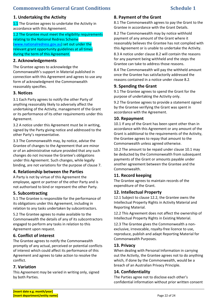# **Commonwealth General Grant Conditions Schedule 1**

#### **1. Undertaking the Activity**

1.1 The Grantee agrees to undertake the Activity in accordance with this Agreement.

1.2 The Grantee must meet the eligibility requirements relating to the National Redress Scheme (www.nationalredress.gov.au) set out under the relevant grant opportunity guidelines at all times during the term of this Agreement.

#### **2. Acknowledgements**

The Grantee agrees to acknowledge the Commonwealth's support in Material published in connection with this Agreement and agrees to use any form of acknowledgment the Commonwealth reasonably specifies.

#### **3. Notices**

3.1 Each Party agrees to notify the other Party of anything reasonably likely to adversely affect the undertaking of the Activity, management of the Grant or its performance of its other requirements under this Agreement.

3.2 A notice under this Agreement must be in writing, signed by the Party giving notice and addressed to the other Party's representative.

3.3 The Commonwealth may, by notice, advise the Grantee of changes to the Agreement that are minor or of an administrative nature provided that any such changes do not increase the Grantee's obligations under this Agreement. Such changes, while legally binding, are not variations for the purpose of clause 7.

#### **4. Relationship between the Parties**

A Party is not by virtue of this Agreement the employee, agent or partner of the other Party and is not authorised to bind or represent the other Party.

#### **5. Subcontracting**

5.1 The Grantee is responsible for the performance of its obligations under this Agreement, including in relation to any tasks undertaken by subcontractors.

5.2 The Grantee agrees to make available to the Commonwealth the details of any of its subcontractors engaged to perform any tasks in relation to this Agreement upon request.

#### **6. Conflict of interest**

The Grantee agrees to notify the Commonwealth promptly of any actual, perceived or potential conflicts of interest which could affect its performance of this Agreement and agrees to take action to resolve the conflict.

#### **7. Variation**

This Agreement may be varied in writing only, signed by both Parties.

#### **8. Payment of the Grant**

8.1 The Commonwealth agrees to pay the Grant to the Grantee in accordance with the Grant Details.

8.2 The Commonwealth may by notice withhold payment of any amount of the Grant where it reasonably believes the Grantee has not complied with this Agreement or is unable to undertake the Activity.

8.3 A notice under clause 8.2 will contain the reasons for any payment being withheld and the steps the Grantee can take to address those reasons.

8.4 The Commonwealth will pay the withheld amount once the Grantee has satisfactorily addressed the reasons contained in a notice under clause 8.2.

#### **9. Spending the Grant**

9.1 The Grantee agrees to spend the Grant for the purpose of undertaking the Activity only.

9.2 The Grantee agrees to provide a statement signed by the Grantee verifying the Grant was spent in accordance with the Agreement.

#### **10. Repayment**

10.1 If any of the Grant has been spent other than in accordance with this Agreement or any amount of the Grant is additional to the requirements of the Activity, the Grantee agrees to repay that amount to the Commonwealth unless agreed otherwise.

10.2 The amount to be repaid under clause 10.1 may be deducted by the Commonwealth from subsequent payments of the Grant or amounts payable under another agreement between the Grantee and the Commonwealth.

#### **11. Record keeping**

The Grantee agrees to maintain records of the expenditure of the Grant.

#### **12. Intellectual Property**

12.1 Subject to clause 12.2, the Grantee owns the Intellectual Property Rights in Activity Material and Reporting Material.

12.2 This Agreement does not affect the ownership of Intellectual Property Rights in Existing Material.

12.3 The Grantee gives the Commonwealth a non‐ exclusive, irrevocable, royalty‐free licence to use, reproduce, publish and adapt Reporting Material for Commonwealth Purposes.

#### **13. Privacy**

When dealing with Personal Information in carrying out the Activity, the Grantee agrees not to do anything which, if done by the Commonwealth, would be a breach of an Australian Privacy Principle.

#### **14. Confidentiality**

The Parties agree not to disclose each other's confidential information without prior written consent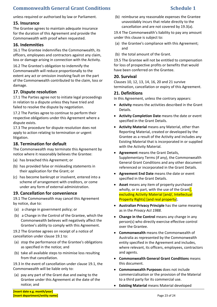# **Commonwealth General Grant Conditions Schedule 1**

unless required or authorised by law or Parliament.

#### **15. Insurance**

The Grantee agrees to maintain adequate insurance for the duration of this Agreement and provide the Commonwealth with proof when requested.

#### **16. Indemnities**

16.1 The Grantee indemnifies the Commonwealth, its officers, employees and contractors against any claim, loss or damage arising in connection with the Activity.

16.2 The Grantee's obligation to indemnify the Commonwealth will reduce proportionally to the extent any act or omission involving fault on the part of the Commonwealth contributed to the claim, loss or damage.

#### **17. Dispute resolution**

17.1 The Parties agree not to initiate legal proceedings in relation to a dispute unless they have tried and failed to resolve the dispute by negotiation.

17.2 The Parties agree to continue to perform their respective obligations under this Agreement where a dispute exists.

17.3 The procedure for dispute resolution does not apply to action relating to termination or urgent litigation.

#### **18. Termination for default**

The Commonwealth may terminate this Agreement by notice where it reasonably believes the Grantee:

- (a) has breached this Agreement; or
- (b) has provided false or misleading statements in their application for the Grant; or
- (c) has become bankrupt or insolvent, entered into a scheme of arrangement with creditors, or come under any form of external administration.

#### **19. Cancellation for convenience**

19.1 The Commonwealth may cancel this Agreement by notice, due to:

- (a) a change in government policy; or
- (b) a Change in the Control of the Grantee, which the Commonwealth believes will negatively affect the Grantee's ability to comply with this Agreement.

19.2 The Grantee agrees on receipt of a notice of cancellation under clause 19.1 to:

- (a) stop the performance of the Grantee's obligations as specified in the notice; and
- (b) take all available steps to minimise loss resulting from that cancellation.

19.3 In the event of cancellation under clause 19.1, the Commonwealth will be liable only to:

(a) pay any part of the Grant due and owing to the Grantee under this Agreement at the date of the notice; and

(b) reimburse any reasonable expenses the Grantee unavoidably incurs that relate directly to the cancellation and are not covered by 19.3(a).

19.4 The Commonwealth's liability to pay any amount under this clause is subject to:

- (a) the Grantee's compliance with this Agreement; and
- (b) the total amount of the Grant.

19.5 The Grantee will not be entitled to compensation for loss of prospective profits or benefits that would have been conferred on the Grantee.

#### **20. Survival**

Clauses 10, 12, 13, 14, 16, 20 and 21 survive termination, cancellation or expiry of this Agreement.

#### **21. Definitions**

In this Agreement, unless the contrary appears:

- **Activity** means the activities described in the Grant Details.
- **Activity Completion Date** means the date or event specified in the Grant Details.
- **Activity Material** means any Material, other than Reporting Material, created or developed by the Grantee as a result of the Activity and includes any Existing Material that is incorporated in or supplied with the Activity Material.
- **Agreement** means the Grant Details, Supplementary Terms (if any), the Commonwealth General Grant Conditions and any other document referenced or incorporated in the Grant Details.
- **Agreement End Date** means the date or event specified in the Grant Details.
- **Asset** means any item of property purchased wholly, or in part, with the use of the Grant $\mathfrak{f}$ , excluding Activity Material [and/, Intellectual Property Rights] [and real property].
- **Australian Privacy Principle** has the same meaning as in the *Privacy Act 1988*.
- **Change in the Control** means any change in any person(s) who directly exercise effective control over the Grantee.
- **Commonwealth** means the Commonwealth of Australia as represented by the Commonwealth entity specified in the Agreement and includes, where relevant, its officers, employees, contractors and agents.
- **Commonwealth General Grant Conditions** means this document.
- **Commonwealth Purposes** does not include commercialisation or the provision of the Material to a third party for its commercial use.
- **Existing Material** means Material developed